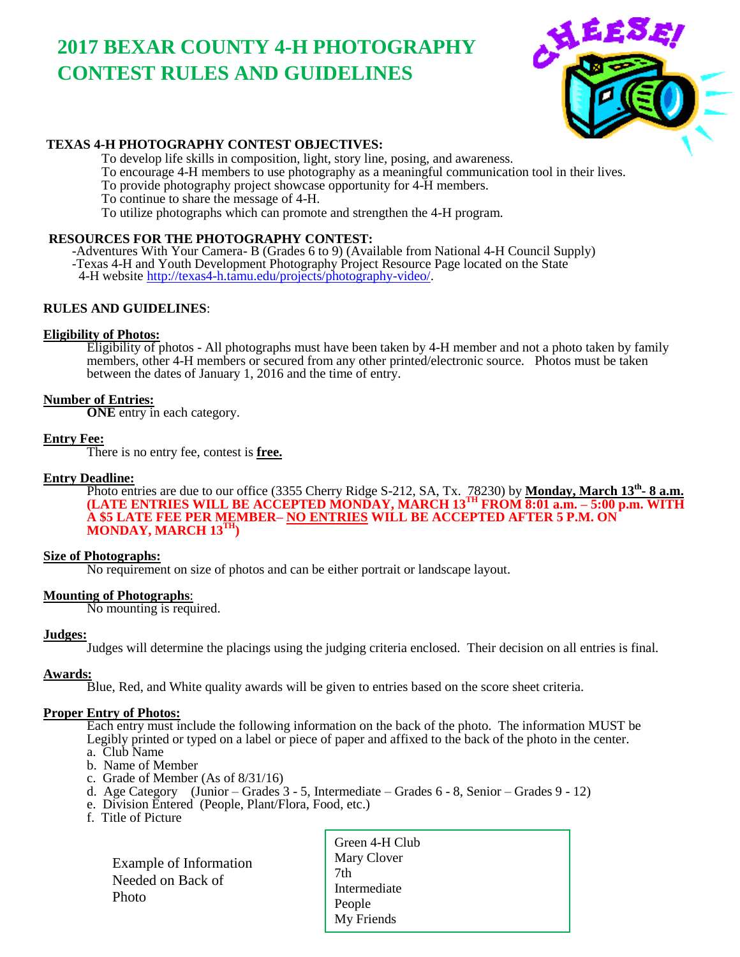# **2017 BEXAR COUNTY 4-H PHOTOGRAPHY CONTEST RULES AND GUIDELINES**



#### **TEXAS 4-H PHOTOGRAPHY CONTEST OBJECTIVES:**

To develop life skills in composition, light, story line, posing, and awareness.

To encourage 4-H members to use photography as a meaningful communication tool in their lives.

To provide photography project showcase opportunity for 4-H members.

To continue to share the message of 4-H.

To utilize photographs which can promote and strengthen the 4-H program.

#### **RESOURCES FOR THE PHOTOGRAPHY CONTEST:**

 -Adventures With Your Camera- B (Grades 6 to 9) (Available from National 4-H Council Supply) -Texas 4-H and Youth Development Photography Project Resource Page located on the State 4-H website [http://texas4-h.tamu.edu/projects/photography-video/.](http://texas4-h.tamu.edu/projects/photography-video/)

#### **RULES AND GUIDELINES**:

#### **Eligibility of Photos:**

Eligibility of photos - All photographs must have been taken by 4-H member and not a photo taken by family members, other 4-H members or secured from any other printed/electronic source. Photos must be taken between the dates of January 1, 2016 and the time of entry.

#### **Number of Entries:**

**ONE** entry in each category.

#### **Entry Fee:**

There is no entry fee, contest is **free.**

#### **Entry Deadline:**

Photo entries are due to our office (3355 Cherry Ridge S-212, SA, Tx. 78230) by **Monday, March 13<sup>th</sup> - 8 a.m. (LATE ENTRIES WILL BE ACCEPTED MONDAY, MARCH 13TH FROM 8:01 a.m. – 5:00 p.m. WITH A \$5 LATE FEE PER MEMBER– NO ENTRIES WILL BE ACCEPTED AFTER 5 P.M. ON MONDAY, MARCH 13<sup>T</sup>** 

#### **Size of Photographs:**

No requirement on size of photos and can be either portrait or landscape layout.

#### **Mounting of Photographs**:

No mounting is required.

#### **Judges:**

Judges will determine the placings using the judging criteria enclosed. Their decision on all entries is final.

#### **Awards:**

Blue, Red, and White quality awards will be given to entries based on the score sheet criteria.

#### **Proper Entry of Photos:**

Each entry must include the following information on the back of the photo. The information MUST be Legibly printed or typed on a label or piece of paper and affixed to the back of the photo in the center.

- a. Club Name b. Name of Member
- c. Grade of Member (As of 8/31/16)
- d. Age Category (Junior Grades 3 5, Intermediate Grades 6 8, Senior Grades 9 12)
- e. Division Entered (People, Plant/Flora, Food, etc.)
- f. Title of Picture

 Example of Information Needed on Back of Photo

Green 4-H Club Mary Clover 7th Intermediate People My Friends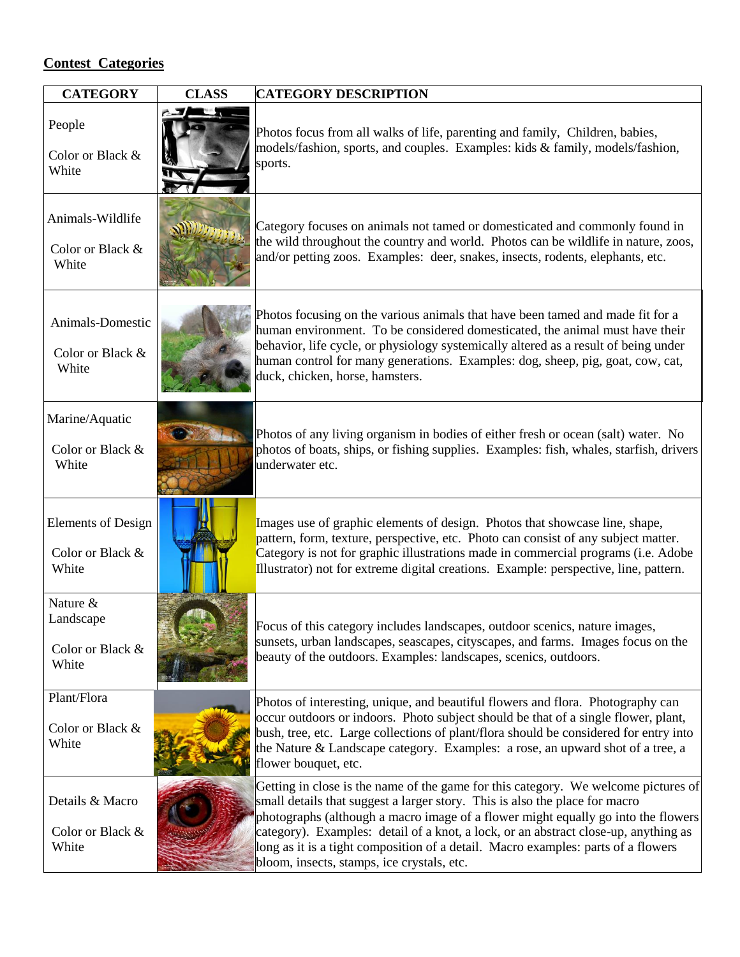### **Contest Categories**

| <b>CATEGORY</b>                                        | <b>CLASS</b> | <b>CATEGORY DESCRIPTION</b>                                                                                                                                                                                                                                                                                                                                                                                                                                                      |
|--------------------------------------------------------|--------------|----------------------------------------------------------------------------------------------------------------------------------------------------------------------------------------------------------------------------------------------------------------------------------------------------------------------------------------------------------------------------------------------------------------------------------------------------------------------------------|
| People<br>Color or Black &<br>White                    |              | Photos focus from all walks of life, parenting and family, Children, babies,<br>models/fashion, sports, and couples. Examples: kids & family, models/fashion,<br>sports.                                                                                                                                                                                                                                                                                                         |
| Animals-Wildlife<br>Color or Black &<br>White          |              | Category focuses on animals not tamed or domesticated and commonly found in<br>the wild throughout the country and world. Photos can be wildlife in nature, zoos,<br>and/or petting zoos. Examples: deer, snakes, insects, rodents, elephants, etc.                                                                                                                                                                                                                              |
| Animals-Domestic<br>Color or Black &<br>White          |              | Photos focusing on the various animals that have been tamed and made fit for a<br>human environment. To be considered domesticated, the animal must have their<br>behavior, life cycle, or physiology systemically altered as a result of being under<br>human control for many generations. Examples: dog, sheep, pig, goat, cow, cat,<br>duck, chicken, horse, hamsters.                                                                                                       |
| Marine/Aquatic<br>Color or Black &<br>White            |              | Photos of any living organism in bodies of either fresh or ocean (salt) water. No<br>photos of boats, ships, or fishing supplies. Examples: fish, whales, starfish, drivers<br>underwater etc.                                                                                                                                                                                                                                                                                   |
| <b>Elements of Design</b><br>Color or Black &<br>White |              | Images use of graphic elements of design. Photos that showcase line, shape,<br>pattern, form, texture, perspective, etc. Photo can consist of any subject matter.<br>Category is not for graphic illustrations made in commercial programs (i.e. Adobe<br>Illustrator) not for extreme digital creations. Example: perspective, line, pattern.                                                                                                                                   |
| Nature &<br>Landscape<br>Color or Black &<br>White     |              | Focus of this category includes landscapes, outdoor scenics, nature images,<br>sunsets, urban landscapes, seascapes, cityscapes, and farms. Images focus on the<br>beauty of the outdoors. Examples: landscapes, scenics, outdoors.                                                                                                                                                                                                                                              |
| Plant/Flora<br>Color or Black &<br>White               |              | Photos of interesting, unique, and beautiful flowers and flora. Photography can<br>occur outdoors or indoors. Photo subject should be that of a single flower, plant,<br>bush, tree, etc. Large collections of plant/flora should be considered for entry into<br>the Nature & Landscape category. Examples: a rose, an upward shot of a tree, a<br>flower bouquet, etc.                                                                                                         |
| Details & Macro<br>Color or Black &<br>White           |              | Getting in close is the name of the game for this category. We welcome pictures of<br>small details that suggest a larger story. This is also the place for macro<br>photographs (although a macro image of a flower might equally go into the flowers<br>category). Examples: detail of a knot, a lock, or an abstract close-up, anything as<br>long as it is a tight composition of a detail. Macro examples: parts of a flowers<br>bloom, insects, stamps, ice crystals, etc. |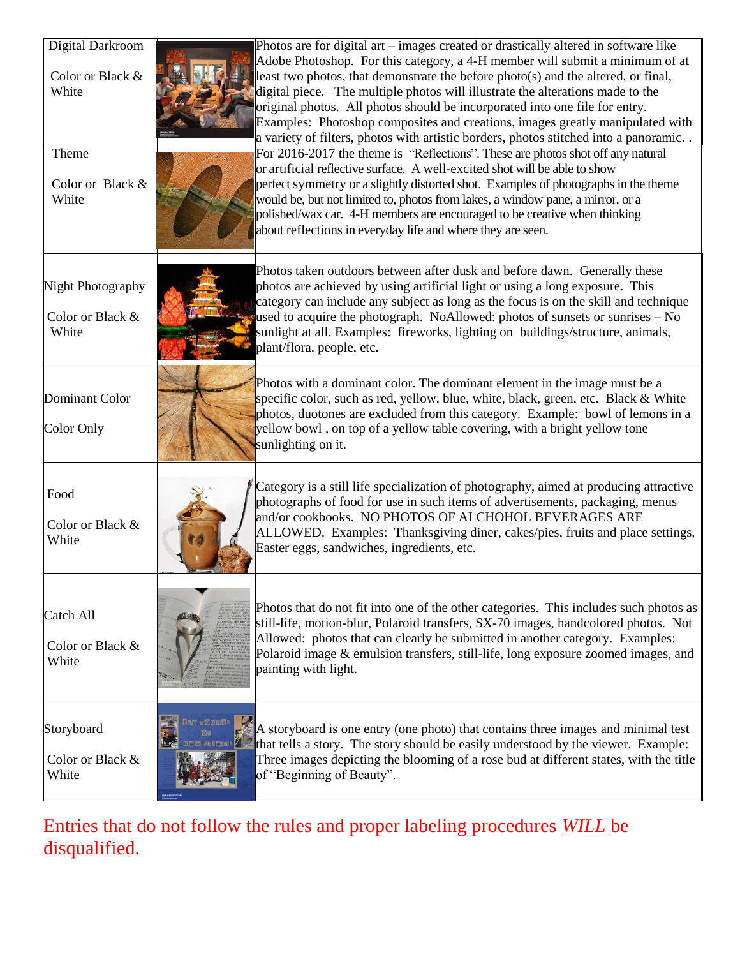| Digital Darkroom  |                   | Photos are for digital art – images created or drastically altered in software like                                                    |
|-------------------|-------------------|----------------------------------------------------------------------------------------------------------------------------------------|
|                   |                   | Adobe Photoshop. For this category, a 4-H member will submit a minimum of at                                                           |
| Color or Black &  |                   | least two photos, that demonstrate the before photo(s) and the altered, or final,                                                      |
| White             |                   | digital piece. The multiple photos will illustrate the alterations made to the                                                         |
|                   |                   | original photos. All photos should be incorporated into one file for entry.                                                            |
|                   |                   | Examples: Photoshop composites and creations, images greatly manipulated with                                                          |
|                   |                   | a variety of filters, photos with artistic borders, photos stitched into a panoramic.                                                  |
| Theme             |                   | For 2016-2017 the theme is "Reflections". These are photos shot off any natural                                                        |
|                   |                   | or artificial reflective surface. A well-excited shot will be able to show                                                             |
| Color or Black &  |                   | perfect symmetry or a slightly distorted shot. Examples of photographs in the theme                                                    |
| White             |                   | would be, but not limited to, photos from lakes, a window pane, a mirror, or a                                                         |
|                   |                   | polished/wax car. 4-H members are encouraged to be creative when thinking                                                              |
|                   |                   | about reflections in everyday life and where they are seen.                                                                            |
|                   |                   |                                                                                                                                        |
|                   |                   | Photos taken outdoors between after dusk and before dawn. Generally these                                                              |
| Night Photography |                   | photos are achieved by using artificial light or using a long exposure. This                                                           |
|                   |                   | category can include any subject as long as the focus is on the skill and technique                                                    |
| Color or Black &  |                   | used to acquire the photograph. NoAllowed: photos of sunsets or sunrises – No                                                          |
| White             |                   | sunlight at all. Examples: fireworks, lighting on buildings/structure, animals,                                                        |
|                   |                   | plant/flora, people, etc.                                                                                                              |
|                   |                   |                                                                                                                                        |
|                   |                   | Photos with a dominant color. The dominant element in the image must be a                                                              |
| Dominant Color    |                   | specific color, such as red, yellow, blue, white, black, green, etc. Black & White                                                     |
|                   |                   | photos, duotones are excluded from this category. Example: bowl of lemons in a                                                         |
| Color Only        |                   | yellow bowl, on top of a yellow table covering, with a bright yellow tone                                                              |
|                   |                   | sunlighting on it.                                                                                                                     |
|                   |                   |                                                                                                                                        |
|                   |                   |                                                                                                                                        |
| Food              |                   | Category is a still life specialization of photography, aimed at producing attractive                                                  |
|                   |                   | photographs of food for use in such items of advertisements, packaging, menus<br>and/or cookbooks. NO PHOTOS OF ALCHOHOL BEVERAGES ARE |
| Color or Black &  |                   | ALLOWED. Examples: Thanksgiving diner, cakes/pies, fruits and place settings,                                                          |
| White             |                   | Easter eggs, sandwiches, ingredients, etc.                                                                                             |
|                   |                   |                                                                                                                                        |
|                   |                   |                                                                                                                                        |
|                   |                   |                                                                                                                                        |
| Catch All         |                   | Photos that do not fit into one of the other categories. This includes such photos as                                                  |
|                   |                   | still-life, motion-blur, Polaroid transfers, SX-70 images, handcolored photos. Not                                                     |
| Color or Black &  |                   | Allowed: photos that can clearly be submitted in another category. Examples:                                                           |
| White             |                   | Polaroid image & emulsion transfers, still-life, long exposure zoomed images, and                                                      |
|                   |                   | painting with light.                                                                                                                   |
|                   |                   |                                                                                                                                        |
|                   |                   |                                                                                                                                        |
| Storyboard        | <b>Mo sound:</b>  | A storyboard is one entry (one photo) that contains three images and minimal test                                                      |
|                   | <b>NOW GILGED</b> | that tells a story. The story should be easily understood by the viewer. Example:                                                      |
| Color or Black &  |                   | Three images depicting the blooming of a rose bud at different states, with the title                                                  |
| White             |                   | of "Beginning of Beauty".                                                                                                              |
|                   |                   |                                                                                                                                        |

Entries that do not follow the rules and proper labeling procedures *WILL* be disqualified.